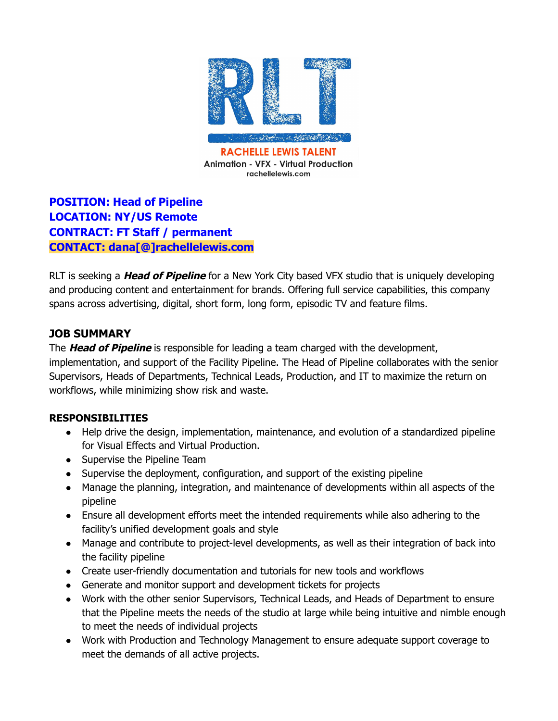

# **POSITION: Head of Pipeline LOCATION: NY/US Remote CONTRACT: FT Staff / permanent CONTACT: dana[@]rachellelewis.com**

RLT is seeking a **Head of Pipeline** for a New York City based VFX studio that is uniquely developing and producing content and entertainment for brands. Offering full service capabilities, this company spans across advertising, digital, short form, long form, episodic TV and feature films.

## **JOB SUMMARY**

The **Head of Pipeline** is responsible for leading a team charged with the development, implementation, and support of the Facility Pipeline. The Head of Pipeline collaborates with the senior Supervisors, Heads of Departments, Technical Leads, Production, and IT to maximize the return on workflows, while minimizing show risk and waste.

#### **RESPONSIBILITIES**

- Help drive the design, implementation, maintenance, and evolution of a standardized pipeline for Visual Effects and Virtual Production.
- Supervise the Pipeline Team
- Supervise the deployment, configuration, and support of the existing pipeline
- Manage the planning, integration, and maintenance of developments within all aspects of the pipeline
- Ensure all development efforts meet the intended requirements while also adhering to the facility's unified development goals and style
- Manage and contribute to project-level developments, as well as their integration of back into the facility pipeline
- Create user-friendly documentation and tutorials for new tools and workflows
- Generate and monitor support and development tickets for projects
- Work with the other senior Supervisors, Technical Leads, and Heads of Department to ensure that the Pipeline meets the needs of the studio at large while being intuitive and nimble enough to meet the needs of individual projects
- Work with Production and Technology Management to ensure adequate support coverage to meet the demands of all active projects.